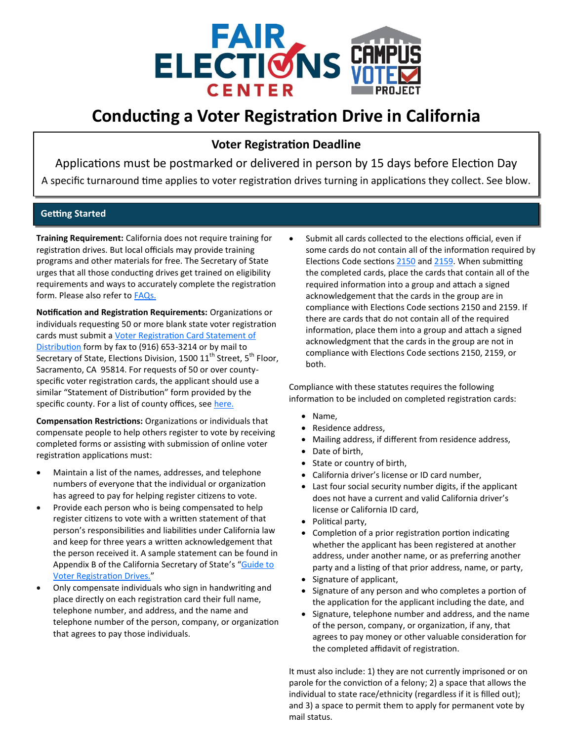

# **Conducting a Voter Registration Drive in California**

## **Voter Registration Deadline**

Applications must be postmarked or delivered in person by 15 days before Election Day A specific turnaround time applies to voter registration drives turning in applications they collect. See blow.

### **Getting Started**

**Training Requirement:** California does not require training for registration drives. But local officials may provide training programs and other materials for free. The Secretary of State urges that all those conducting drives get trained on eligibility requirements and ways to accurately complete the registration form. Please also refer to [FAQs.](https://www.sos.ca.gov/elections/frequently-asked-questions)

**Notification and Registration Requirements:** Organizations or individuals requesting 50 or more blank state voter registration cards must submit a [Voter Registration Card Statement of](http://elections.cdn.sos.ca.gov/vrdis.pdf)  [Distribution](http://elections.cdn.sos.ca.gov/vrdis.pdf) form by fax to (916) 653-3214 or by mail to Secretary of State, Elections Division, 1500 11<sup>th</sup> Street, 5<sup>th</sup> Floor, Sacramento, CA 95814. For requests of 50 or over countyspecific voter registration cards, the applicant should use a similar "Statement of Distribution" form provided by the specific county. For a list of county offices, see [here.](https://www.sos.ca.gov/elections/voting-resources/county-elections-offices)

**Compensation Restrictions:** Organizations or individuals that compensate people to help others register to vote by receiving completed forms or assisting with submission of online voter registration applications must:

- Maintain a list of the names, addresses, and telephone numbers of everyone that the individual or organization has agreed to pay for helping register citizens to vote.
- Provide each person who is being compensated to help register citizens to vote with a written statement of that person's responsibilities and liabilities under California law and keep for three years a written acknowledgement that the person received it. A sample statement can be found in Appendix B of the California Secretary of State's "Guide to [Voter Registration Drives.](http://elections.cdn.sos.ca.gov/guides/guide-to-vr-drives.pdf)"
- Only compensate individuals who sign in handwriting and place directly on each registration card their full name, telephone number, and address, and the name and telephone number of the person, company, or organization that agrees to pay those individuals.

Submit all cards collected to the elections official, even if some cards do not contain all of the information required by Elections Code sections [2150](http://codes.lp.findlaw.com/cacode/ELEC/1/d2/2/4/s2150) and [2159.](http://codes.lp.findlaw.com/cacode/ELEC/1/d2/2/4/s2159) When submitting the completed cards, place the cards that contain all of the required information into a group and attach a signed acknowledgement that the cards in the group are in compliance with Elections Code sections 2150 and 2159. If there are cards that do not contain all of the required information, place them into a group and attach a signed acknowledgment that the cards in the group are not in compliance with Elections Code sections 2150, 2159, or both.

Compliance with these statutes requires the following information to be included on completed registration cards:

- Name,
- Residence address,
- Mailing address, if different from residence address,
- Date of birth,
- State or country of birth,
- California driver's license or ID card number,
- Last four social security number digits, if the applicant does not have a current and valid California driver's license or California ID card,
- Political party,
- Completion of a prior registration portion indicating whether the applicant has been registered at another address, under another name, or as preferring another party and a listing of that prior address, name, or party,
- Signature of applicant,
- Signature of any person and who completes a portion of the application for the applicant including the date, and
- Signature, telephone number and address, and the name of the person, company, or organization, if any, that agrees to pay money or other valuable consideration for the completed affidavit of registration.

It must also include: 1) they are not currently imprisoned or on parole for the conviction of a felony; 2) a space that allows the individual to state race/ethnicity (regardless if it is filled out); and 3) a space to permit them to apply for permanent vote by mail status.